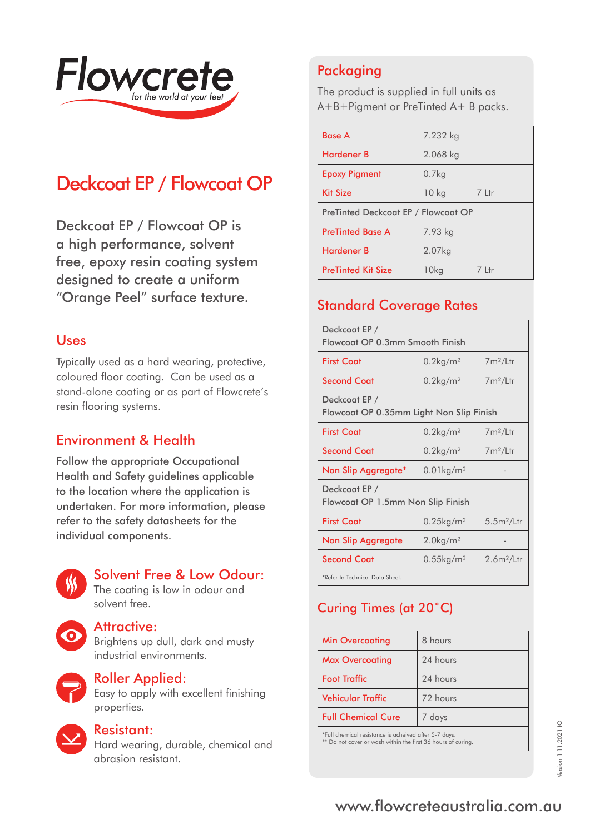

# Deckcoat EP / Flowcoat OP

Deckcoat EP / Flowcoat OP is a high performance, solvent free, epoxy resin coating system designed to create a uniform "Orange Peel" surface texture.

#### Uses

Typically used as a hard wearing, protective, coloured floor coating. Can be used as a stand-alone coating or as part of Flowcrete's resin flooring systems.

#### Environment & Health

Follow the appropriate Occupational Health and Safety guidelines applicable to the location where the application is undertaken. For more information, please refer to the safety datasheets for the individual components.



#### Solvent Free & Low Odour:

The coating is low in odour and solvent free.



#### Attractive:

Brightens up dull, dark and musty industrial environments.



#### Roller Applied:

Easy to apply with excellent finishing properties.

#### Resistant:

Hard wearing, durable, chemical and abrasion resistant.

# Packaging

The product is supplied in full units as A+B+Pigment or PreTinted A+ B packs.

| <b>Base A</b>                       | 7.232 kg          |          |
|-------------------------------------|-------------------|----------|
| <b>Hardener B</b>                   | 2.068 kg          |          |
| <b>Epoxy Pigment</b>                | 0.7 <sub>kq</sub> |          |
| <b>Kit Size</b>                     | 10 <sub>kg</sub>  | 7 Ltr    |
| PreTinted Deckcoat EP / Flowcoat OP |                   |          |
| <b>PreTinted Base A</b>             | 7.93 kg           |          |
| <b>Hardener B</b>                   | 2.07kg            |          |
| <b>PreTinted Kit Size</b>           | 10kg              | $7$ I tr |

## Standard Coverage Rates

| Deckcoat EP /<br>Flowcoat OP 0.3mm Smooth Finish          |                          |                        |  |
|-----------------------------------------------------------|--------------------------|------------------------|--|
| <b>First Coat</b>                                         | $0.2$ kg/m <sup>2</sup>  | $7m^2/L$ tr            |  |
| <b>Second Coat</b>                                        | $0.2$ kg/m <sup>2</sup>  | $7m^2/L$ tr            |  |
| Deckcoat EP /<br>Flowcoat OP 0.35mm Light Non Slip Finish |                          |                        |  |
| <b>First Coat</b>                                         | $0.2$ kg/m <sup>2</sup>  | $7m^2/L$ tr            |  |
| <b>Second Coat</b>                                        | $0.2$ kg/m <sup>2</sup>  | $7m^2/L$ tr            |  |
| Non Slip Aggregate*                                       | $0.01$ kg/m <sup>2</sup> |                        |  |
| Deckcoat EP /<br>Flowcoat OP 1.5mm Non Slip Finish        |                          |                        |  |
| <b>First Coat</b>                                         | $0.25$ kg/m <sup>2</sup> | 5.5m <sup>2</sup> /Ltr |  |
| Non Slip Aggregate                                        | $2.0$ kg/m <sup>2</sup>  |                        |  |
| <b>Second Coat</b>                                        | $0.55$ kg/m <sup>2</sup> | $2.6m^2/$ Ltr          |  |
| *Refer to Technical Data Sheet.                           |                          |                        |  |

# Curing Times (at 20˚C)

| <b>Min Overcoating</b>                                | 8 hours  |
|-------------------------------------------------------|----------|
| <b>Max Overcoating</b>                                | 24 hours |
| <b>Foot Traffic</b>                                   | 24 hours |
| <b>Vehicular Traffic</b>                              | 72 hours |
| <b>Full Chemical Cure</b>                             | 7 days   |
| *Full chemical resistance is acheived after 5-7 days. |          |

\*Full chemical resistance is acheived after 5-7 days. \*\* Do not cover or wash within the first 36 hours of curing.

# www.flowcreteaustralia.com.au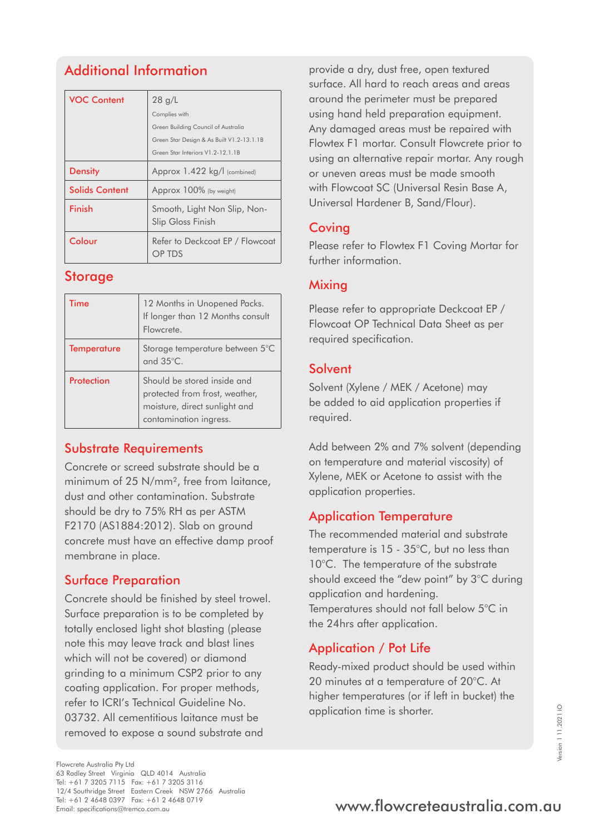# Additional Information

| <b>VOC Content</b>    | 28 g/L                                            |
|-----------------------|---------------------------------------------------|
|                       | Complies with                                     |
|                       | Green Building Council of Australia               |
|                       | Green Star Design & As Built V1.2-13.1.1B         |
|                       | Green Star Interiors V1.2-12.1.1B                 |
| <b>Density</b>        | Approx 1.422 kg/l (combined)                      |
| <b>Solids Content</b> | Approx 100% (by weight)                           |
| Finish                | Smooth, Light Non Slip, Non-<br>Slip Gloss Finish |
| Colour                | Refer to Deckcoat EP / Flowcoat<br>OP TDS         |

#### **Storage**

| Time               | 12 Months in Unopened Packs.<br>If longer than 12 Months consult<br>Flowcrete.                                           |
|--------------------|--------------------------------------------------------------------------------------------------------------------------|
| <b>Temperature</b> | Storage temperature between 5°C<br>and 35°C.                                                                             |
| Protection         | Should be stored inside and<br>protected from frost, weather,<br>moisture, direct sunlight and<br>contamination ingress. |

#### Substrate Requirements

Concrete or screed substrate should be a minimum of 25 N/mm², free from laitance, dust and other contamination. Substrate should be dry to 75% RH as per ASTM F2170 (AS1884:2012). Slab on ground concrete must have an effective damp proof membrane in place.

## Surface Preparation

Concrete should be finished by steel trowel. Surface preparation is to be completed by totally enclosed light shot blasting (please note this may leave track and blast lines which will not be covered) or diamond grinding to a minimum CSP2 prior to any coating application. For proper methods, refer to ICRI's Technical Guideline No. 03732. All cementitious laitance must be removed to expose a sound substrate and

provide a dry, dust free, open textured surface. All hard to reach areas and areas around the perimeter must be prepared using hand held preparation equipment. Any damaged areas must be repaired with Flowtex F1 mortar. Consult Flowcrete prior to using an alternative repair mortar. Any rough or uneven areas must be made smooth with Flowcoat SC (Universal Resin Base A, Universal Hardener B, Sand/Flour).

### **Coving**

Please refer to Flowtex F1 Coving Mortar for further information.

### Mixing

Please refer to appropriate Deckcoat EP / Flowcoat OP Technical Data Sheet as per required specification.

### **Solvent**

Solvent (Xylene / MEK / Acetone) may be added to aid application properties if required.

Add between 2% and 7% solvent (depending on temperature and material viscosity) of Xylene, MEK or Acetone to assist with the application properties.

# Application Temperature

The recommended material and substrate temperature is 15 - 35°C, but no less than 10°C. The temperature of the substrate should exceed the "dew point" by 3°C during application and hardening. Temperatures should not fall below 5°C in the 24hrs after application.

# Application / Pot Life

Ready-mixed product should be used within 20 minutes at a temperature of 20°C. At higher temperatures (or if left in bucket) the application time is shorter.

# Tel: +61 2 4648 0397 Fax: +61 2 4648 0719<br>Email: specifications@tremco.com.au **www.flowcreteaustralia.com.au**